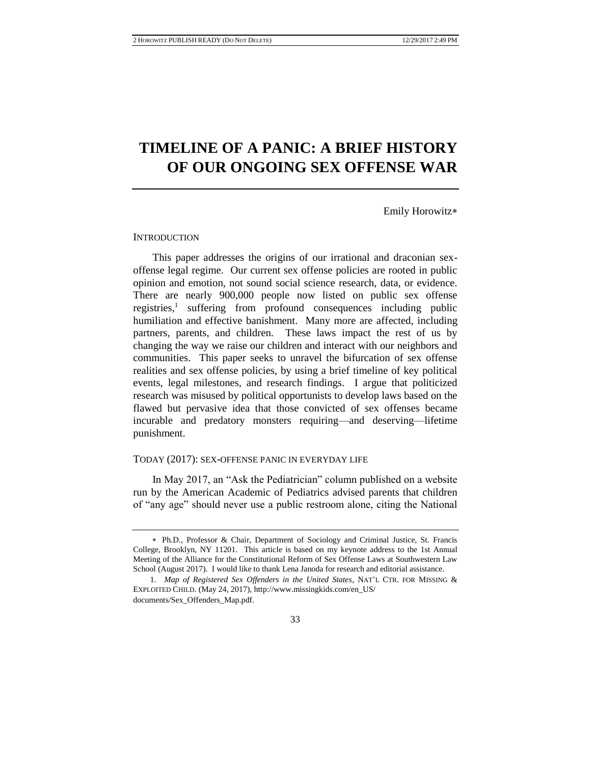# **TIMELINE OF A PANIC: A BRIEF HISTORY OF OUR ONGOING SEX OFFENSE WAR**

Emily Horowitz

### **INTRODUCTION**

This paper addresses the origins of our irrational and draconian sexoffense legal regime. Our current sex offense policies are rooted in public opinion and emotion, not sound social science research, data, or evidence. There are nearly 900,000 people now listed on public sex offense registries,<sup>1</sup> suffering from profound consequences including public humiliation and effective banishment. Many more are affected, including partners, parents, and children. These laws impact the rest of us by changing the way we raise our children and interact with our neighbors and communities. This paper seeks to unravel the bifurcation of sex offense realities and sex offense policies, by using a brief timeline of key political events, legal milestones, and research findings. I argue that politicized research was misused by political opportunists to develop laws based on the flawed but pervasive idea that those convicted of sex offenses became incurable and predatory monsters requiring—and deserving—lifetime punishment.

### TODAY (2017): SEX-OFFENSE PANIC IN EVERYDAY LIFE

In May 2017, an "Ask the Pediatrician" column published on a website run by the American Academic of Pediatrics advised parents that children of "any age" should never use a public restroom alone, citing the National

Ph.D., Professor & Chair, Department of Sociology and Criminal Justice, St. Francis College, Brooklyn, NY 11201. This article is based on my keynote address to the 1st Annual Meeting of the Alliance for the Constitutional Reform of Sex Offense Laws at Southwestern Law School (August 2017). I would like to thank Lena Janoda for research and editorial assistance.

<sup>1.</sup> *Map of Registered Sex Offenders in the United States*, NAT'L CTR. FOR MISSING & EXPLOITED CHILD. (May 24, 2017), http://www.missingkids.com/en\_US/ documents/Sex\_Offenders\_Map.pdf.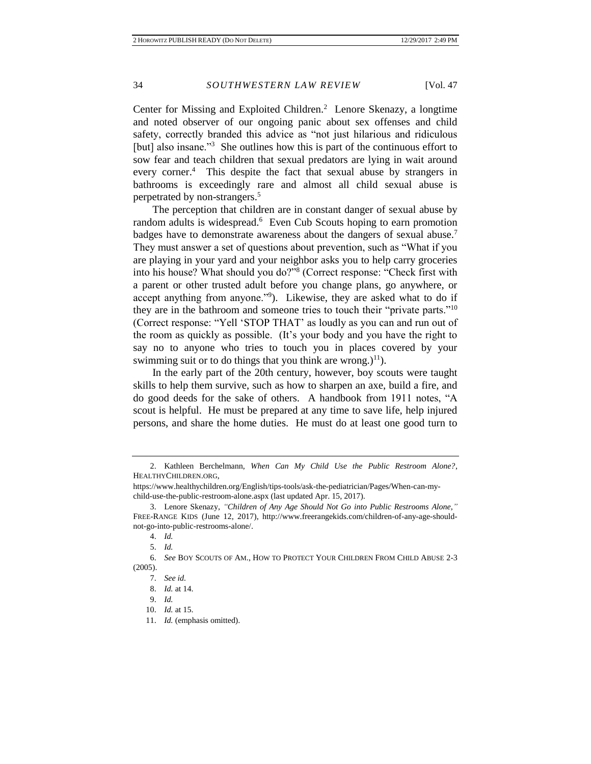Center for Missing and Exploited Children.<sup>2</sup> Lenore Skenazy, a longtime and noted observer of our ongoing panic about sex offenses and child safety, correctly branded this advice as "not just hilarious and ridiculous [but] also insane.<sup>73</sup> She outlines how this is part of the continuous effort to sow fear and teach children that sexual predators are lying in wait around every corner.<sup>4</sup> This despite the fact that sexual abuse by strangers in bathrooms is exceedingly rare and almost all child sexual abuse is perpetrated by non-strangers.<sup>5</sup>

The perception that children are in constant danger of sexual abuse by random adults is widespread.<sup>6</sup> Even Cub Scouts hoping to earn promotion badges have to demonstrate awareness about the dangers of sexual abuse.<sup>7</sup> They must answer a set of questions about prevention, such as "What if you are playing in your yard and your neighbor asks you to help carry groceries into his house? What should you do?"<sup>8</sup> (Correct response: "Check first with a parent or other trusted adult before you change plans, go anywhere, or accept anything from anyone."<sup>9</sup> ). Likewise, they are asked what to do if they are in the bathroom and someone tries to touch their "private parts."<sup>10</sup> (Correct response: "Yell 'STOP THAT' as loudly as you can and run out of the room as quickly as possible. (It's your body and you have the right to say no to anyone who tries to touch you in places covered by your swimming suit or to do things that you think are wrong.)<sup>11</sup>).

In the early part of the 20th century, however, boy scouts were taught skills to help them survive, such as how to sharpen an axe, build a fire, and do good deeds for the sake of others. A handbook from 1911 notes, "A scout is helpful. He must be prepared at any time to save life, help injured persons, and share the home duties. He must do at least one good turn to

<sup>2.</sup> Kathleen Berchelmann, *When Can My Child Use the Public Restroom Alone?*, HEALTHYCHILDREN.ORG,

https://www.healthychildren.org/English/tips-tools/ask-the-pediatrician/Pages/When-can-mychild-use-the-public-restroom-alone.aspx (last updated Apr. 15, 2017).

<sup>3.</sup> Lenore Skenazy, *"Children of Any Age Should Not Go into Public Restrooms Alone*,*"* FREE-RANGE KIDS (June 12, 2017), http://www.freerangekids.com/children-of-any-age-shouldnot-go-into-public-restrooms-alone/.

<sup>4.</sup> *Id.*

<sup>5.</sup> *Id.*

<sup>6.</sup> *See* BOY SCOUTS OF AM., HOW TO PROTECT YOUR CHILDREN FROM CHILD ABUSE 2-3 (2005).

<sup>7.</sup> *See id.*

<sup>8.</sup> *Id.* at 14.

<sup>9.</sup> *Id.*

<sup>10.</sup> *Id.* at 15.

<sup>11.</sup> *Id.* (emphasis omitted).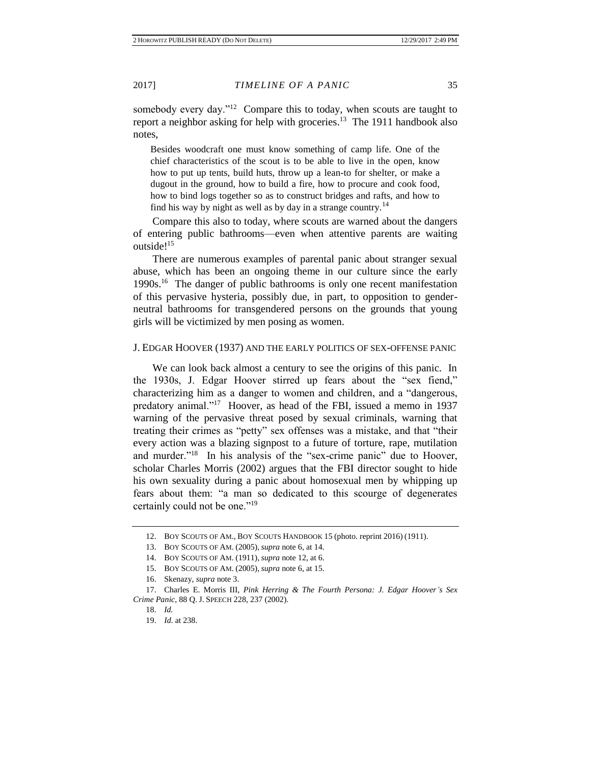somebody every day."<sup>12</sup> Compare this to today, when scouts are taught to report a neighbor asking for help with groceries.<sup>13</sup> The 1911 handbook also notes,

Besides woodcraft one must know something of camp life. One of the chief characteristics of the scout is to be able to live in the open, know how to put up tents, build huts, throw up a lean-to for shelter, or make a dugout in the ground, how to build a fire, how to procure and cook food, how to bind logs together so as to construct bridges and rafts, and how to find his way by night as well as by day in a strange country.<sup>14</sup>

Compare this also to today, where scouts are warned about the dangers of entering public bathrooms—even when attentive parents are waiting outside!<sup>15</sup>

There are numerous examples of parental panic about stranger sexual abuse, which has been an ongoing theme in our culture since the early 1990s.<sup>16</sup> The danger of public bathrooms is only one recent manifestation of this pervasive hysteria, possibly due, in part, to opposition to genderneutral bathrooms for transgendered persons on the grounds that young girls will be victimized by men posing as women.

### J. EDGAR HOOVER (1937) AND THE EARLY POLITICS OF SEX-OFFENSE PANIC

We can look back almost a century to see the origins of this panic. In the 1930s, J. Edgar Hoover stirred up fears about the "sex fiend," characterizing him as a danger to women and children, and a "dangerous, predatory animal."<sup>17</sup> Hoover, as head of the FBI, issued a memo in 1937 warning of the pervasive threat posed by sexual criminals, warning that treating their crimes as "petty" sex offenses was a mistake, and that "their every action was a blazing signpost to a future of torture, rape, mutilation and murder."<sup>18</sup> In his analysis of the "sex-crime panic" due to Hoover, scholar Charles Morris (2002) argues that the FBI director sought to hide his own sexuality during a panic about homosexual men by whipping up fears about them: "a man so dedicated to this scourge of degenerates certainly could not be one."<sup>19</sup>

<sup>12.</sup> BOY SCOUTS OF AM., BOY SCOUTS HANDBOOK 15 (photo. reprint 2016) (1911).

<sup>13.</sup> BOY SCOUTS OF AM. (2005), *supra* note 6, at 14.

<sup>14.</sup> BOY SCOUTS OF AM. (1911), *supra* note 12, at 6.

<sup>15.</sup> BOY SCOUTS OF AM. (2005), *supra* note 6, at 15.

<sup>16.</sup> Skenazy, *supra* note 3.

<sup>17.</sup> Charles E. Morris III, *Pink Herring & The Fourth Persona: J. Edgar Hoover's Sex Crime Panic*, 88 Q. J. SPEECH 228, 237 (2002).

<sup>18.</sup> *Id.*

<sup>19.</sup> *Id*. at 238.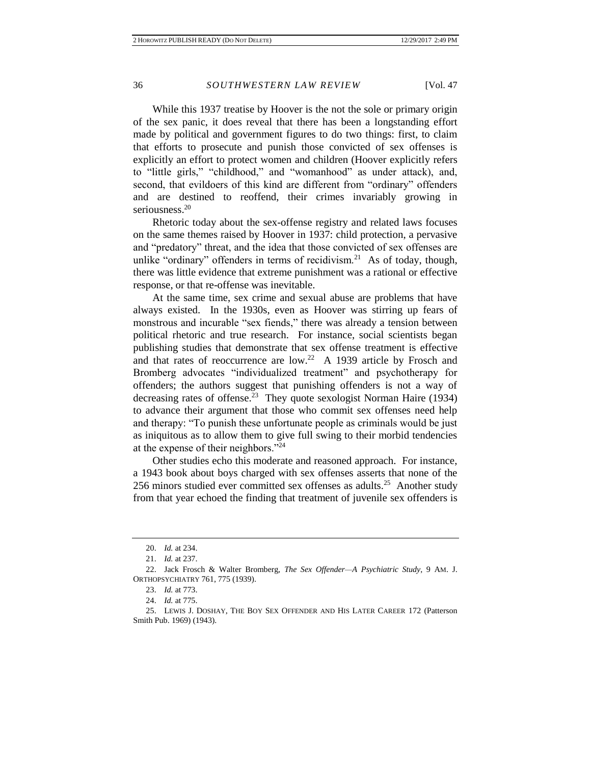While this 1937 treatise by Hoover is the not the sole or primary origin of the sex panic, it does reveal that there has been a longstanding effort made by political and government figures to do two things: first, to claim that efforts to prosecute and punish those convicted of sex offenses is explicitly an effort to protect women and children (Hoover explicitly refers to "little girls," "childhood," and "womanhood" as under attack), and, second, that evildoers of this kind are different from "ordinary" offenders and are destined to reoffend, their crimes invariably growing in seriousness.<sup>20</sup>

Rhetoric today about the sex-offense registry and related laws focuses on the same themes raised by Hoover in 1937: child protection, a pervasive and "predatory" threat, and the idea that those convicted of sex offenses are unlike "ordinary" offenders in terms of recidivism.<sup>21</sup> As of today, though, there was little evidence that extreme punishment was a rational or effective response, or that re-offense was inevitable.

At the same time, sex crime and sexual abuse are problems that have always existed. In the 1930s, even as Hoover was stirring up fears of monstrous and incurable "sex fiends," there was already a tension between political rhetoric and true research. For instance, social scientists began publishing studies that demonstrate that sex offense treatment is effective and that rates of reoccurrence are  $low.^{22}$  A 1939 article by Frosch and Bromberg advocates "individualized treatment" and psychotherapy for offenders; the authors suggest that punishing offenders is not a way of decreasing rates of offense.<sup>23</sup> They quote sexologist Norman Haire (1934) to advance their argument that those who commit sex offenses need help and therapy: "To punish these unfortunate people as criminals would be just as iniquitous as to allow them to give full swing to their morbid tendencies at the expense of their neighbors."<sup>24</sup>

Other studies echo this moderate and reasoned approach. For instance, a 1943 book about boys charged with sex offenses asserts that none of the 256 minors studied ever committed sex offenses as adults.<sup>25</sup> Another study from that year echoed the finding that treatment of juvenile sex offenders is

<sup>20.</sup> *Id.* at 234.

<sup>21.</sup> *Id.* at 237.

<sup>22.</sup> Jack Frosch & Walter Bromberg, *The Sex Offender—A Psychiatric Study*, 9 AM. J. ORTHOPSYCHIATRY 761, 775 (1939).

<sup>23.</sup> *Id.* at 773.

<sup>24.</sup> *Id.* at 775.

<sup>25.</sup> LEWIS J. DOSHAY, THE BOY SEX OFFENDER AND HIS LATER CAREER 172 (Patterson Smith Pub. 1969) (1943).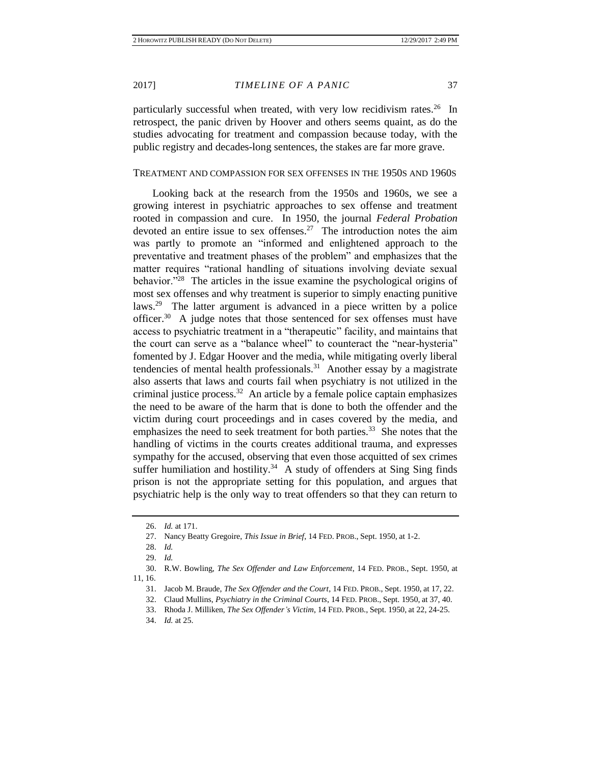particularly successful when treated, with very low recidivism rates.<sup>26</sup> In retrospect, the panic driven by Hoover and others seems quaint, as do the studies advocating for treatment and compassion because today, with the public registry and decades-long sentences, the stakes are far more grave.

### TREATMENT AND COMPASSION FOR SEX OFFENSES IN THE 1950S AND 1960S

Looking back at the research from the 1950s and 1960s, we see a growing interest in psychiatric approaches to sex offense and treatment rooted in compassion and cure. In 1950, the journal *Federal Probation* devoted an entire issue to sex offenses.<sup>27</sup> The introduction notes the aim was partly to promote an "informed and enlightened approach to the preventative and treatment phases of the problem" and emphasizes that the matter requires "rational handling of situations involving deviate sexual behavior."<sup>28</sup> The articles in the issue examine the psychological origins of most sex offenses and why treatment is superior to simply enacting punitive laws.<sup>29</sup> The latter argument is advanced in a piece written by a police officer.<sup>30</sup> A judge notes that those sentenced for sex offenses must have access to psychiatric treatment in a "therapeutic" facility, and maintains that the court can serve as a "balance wheel" to counteract the "near-hysteria" fomented by J. Edgar Hoover and the media, while mitigating overly liberal tendencies of mental health professionals.<sup>31</sup> Another essay by a magistrate also asserts that laws and courts fail when psychiatry is not utilized in the criminal justice process. $32$  An article by a female police captain emphasizes the need to be aware of the harm that is done to both the offender and the victim during court proceedings and in cases covered by the media, and emphasizes the need to seek treatment for both parties.<sup>33</sup> She notes that the handling of victims in the courts creates additional trauma, and expresses sympathy for the accused, observing that even those acquitted of sex crimes suffer humiliation and hostility.<sup>34</sup> A study of offenders at Sing Sing finds prison is not the appropriate setting for this population, and argues that psychiatric help is the only way to treat offenders so that they can return to

<sup>26.</sup> *Id.* at 171.

<sup>27.</sup> Nancy Beatty Gregoire, *This Issue in Brief*, 14 FED. PROB., Sept. 1950, at 1-2.

<sup>28.</sup> *Id.*

<sup>29.</sup> *Id.*

<sup>30.</sup> R.W. Bowling, *The Sex Offender and Law Enforcement*, 14 FED. PROB., Sept. 1950, at 11, 16.

<sup>31.</sup> Jacob M. Braude, *The Sex Offender and the Court*, 14 FED. PROB., Sept. 1950, at 17, 22.

<sup>32.</sup> Claud Mullins, *Psychiatry in the Criminal Courts*, 14 FED. PROB., Sept. 1950, at 37, 40.

<sup>33.</sup> Rhoda J. Milliken, *The Sex Offender's Victim*, 14 FED. PROB., Sept. 1950, at 22, 24-25.

<sup>34.</sup> *Id.* at 25.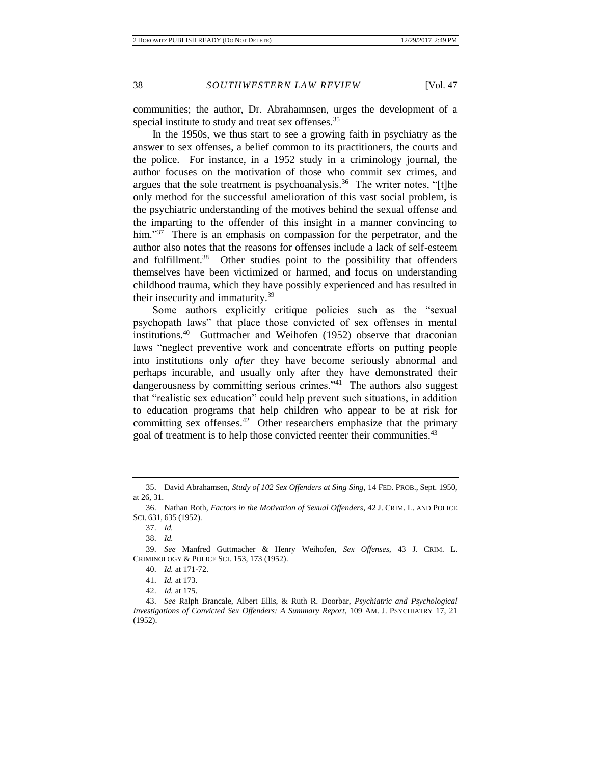communities; the author, Dr. Abrahamnsen, urges the development of a special institute to study and treat sex offenses.<sup>35</sup>

In the 1950s, we thus start to see a growing faith in psychiatry as the answer to sex offenses, a belief common to its practitioners, the courts and the police. For instance, in a 1952 study in a criminology journal, the author focuses on the motivation of those who commit sex crimes, and argues that the sole treatment is psychoanalysis.<sup>36</sup> The writer notes, "[t]he only method for the successful amelioration of this vast social problem, is the psychiatric understanding of the motives behind the sexual offense and the imparting to the offender of this insight in a manner convincing to him."<sup>37</sup> There is an emphasis on compassion for the perpetrator, and the author also notes that the reasons for offenses include a lack of self-esteem and fulfillment.<sup>38</sup> Other studies point to the possibility that offenders themselves have been victimized or harmed, and focus on understanding childhood trauma, which they have possibly experienced and has resulted in their insecurity and immaturity.<sup>39</sup>

Some authors explicitly critique policies such as the "sexual psychopath laws" that place those convicted of sex offenses in mental institutions.<sup>40</sup> Guttmacher and Weihofen (1952) observe that draconian laws "neglect preventive work and concentrate efforts on putting people into institutions only *after* they have become seriously abnormal and perhaps incurable, and usually only after they have demonstrated their dangerousness by committing serious crimes.<sup>241</sup> The authors also suggest that "realistic sex education" could help prevent such situations, in addition to education programs that help children who appear to be at risk for committing sex offenses. $42$  Other researchers emphasize that the primary goal of treatment is to help those convicted reenter their communities.<sup>43</sup>

<sup>35.</sup> David Abrahamsen, *Study of 102 Sex Offenders at Sing Sing*, 14 FED. PROB., Sept. 1950, at 26, 31.

<sup>36.</sup> Nathan Roth, *Factors in the Motivation of Sexual Offenders*, 42 J. CRIM. L. AND POLICE SCI. 631, 635 (1952).

<sup>37.</sup> *Id.*

<sup>38.</sup> *Id.*

<sup>39.</sup> *See* Manfred Guttmacher & Henry Weihofen, *Sex Offenses*, 43 J. CRIM. L. CRIMINOLOGY & POLICE SCI. 153, 173 (1952).

<sup>40.</sup> *Id.* at 171-72.

<sup>41.</sup> *Id.* at 173.

<sup>42.</sup> *Id.* at 175.

<sup>43.</sup> *See* Ralph Brancale, Albert Ellis, & Ruth R. Doorbar, *Psychiatric and Psychological Investigations of Convicted Sex Offenders: A Summary Report*, 109 AM. J. PSYCHIATRY 17, 21 (1952).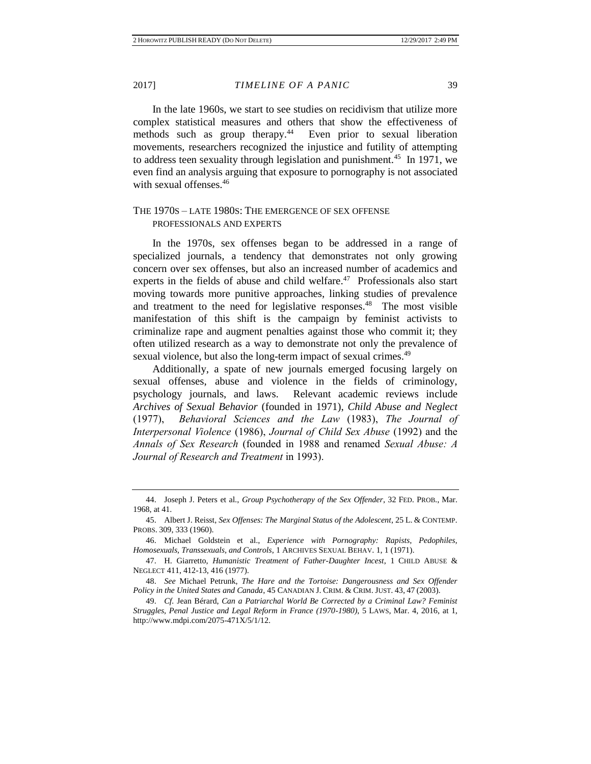In the late 1960s, we start to see studies on recidivism that utilize more complex statistical measures and others that show the effectiveness of methods such as group therapy.<sup>44</sup> Even prior to sexual liberation movements, researchers recognized the injustice and futility of attempting to address teen sexuality through legislation and punishment.<sup>45</sup> In 1971, we even find an analysis arguing that exposure to pornography is not associated with sexual offenses.<sup>46</sup>

# THE 1970S – LATE 1980S: THE EMERGENCE OF SEX OFFENSE PROFESSIONALS AND EXPERTS

In the 1970s, sex offenses began to be addressed in a range of specialized journals, a tendency that demonstrates not only growing concern over sex offenses, but also an increased number of academics and experts in the fields of abuse and child welfare. $47$  Professionals also start moving towards more punitive approaches, linking studies of prevalence and treatment to the need for legislative responses.<sup>48</sup> The most visible manifestation of this shift is the campaign by feminist activists to criminalize rape and augment penalties against those who commit it; they often utilized research as a way to demonstrate not only the prevalence of sexual violence, but also the long-term impact of sexual crimes.<sup>49</sup>

Additionally, a spate of new journals emerged focusing largely on sexual offenses, abuse and violence in the fields of criminology, psychology journals, and laws. Relevant academic reviews include *Archives of Sexual Behavior* (founded in 1971), *Child Abuse and Neglect* (1977), *Behavioral Sciences and the Law* (1983), *The Journal of Interpersonal Violence* (1986), *Journal of Child Sex Abuse* (1992) and the *Annals of Sex Research* (founded in 1988 and renamed *Sexual Abuse: A Journal of Research and Treatment* in 1993).

<sup>44.</sup> Joseph J. Peters et al., *Group Psychotherapy of the Sex Offender*, 32 FED. PROB., Mar. 1968, at 41.

<sup>45.</sup> Albert J. Reisst, *Sex Offenses: The Marginal Status of the Adolescent*, 25 L. & CONTEMP. PROBS. 309, 333 (1960).

<sup>46.</sup> Michael Goldstein et al., *Experience with Pornography: Rapists, Pedophiles, Homosexuals, Transsexuals, and Controls*, 1 ARCHIVES SEXUAL BEHAV. 1, 1 (1971).

<sup>47.</sup> H. Giarretto, *Humanistic Treatment of Father-Daughter Incest*, 1 CHILD ABUSE & NEGLECT 411, 412-13, 416 (1977).

<sup>48.</sup> *See* Michael Petrunk, *The Hare and the Tortoise: Dangerousness and Sex Offender Policy in the United States and Canada*, 45 CANADIAN J. CRIM. & CRIM. JUST. 43, 47 (2003).

<sup>49.</sup> *Cf.* Jean Bérard, *Can a Patriarchal World Be Corrected by a Criminal Law? Feminist Struggles, Penal Justice and Legal Reform in France (1970-1980)*, 5 LAWS, Mar. 4, 2016, at 1, http://www.mdpi.com/2075-471X/5/1/12.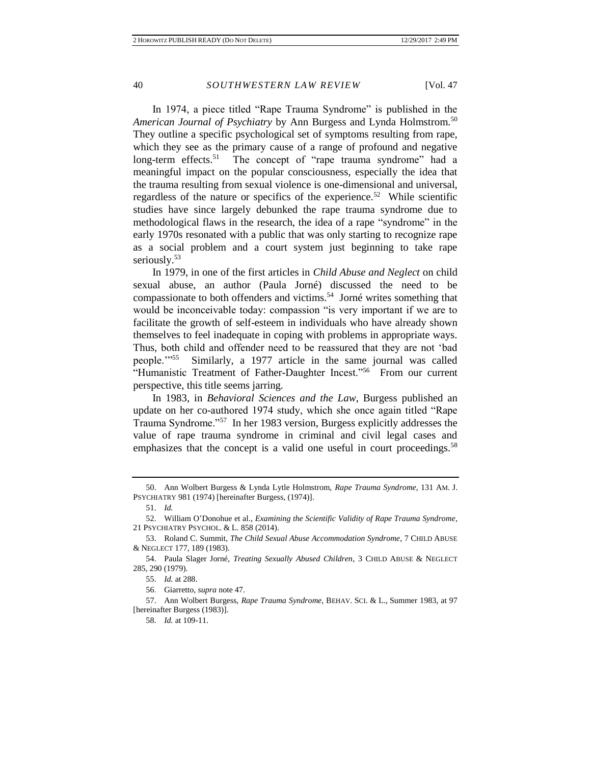In 1974, a piece titled "Rape Trauma Syndrome" is published in the *American Journal of Psychiatry* by Ann Burgess and Lynda Holmstrom.<sup>50</sup> They outline a specific psychological set of symptoms resulting from rape, which they see as the primary cause of a range of profound and negative long-term effects.<sup>51</sup> The concept of "rape trauma syndrome" had a meaningful impact on the popular consciousness, especially the idea that the trauma resulting from sexual violence is one-dimensional and universal, regardless of the nature or specifics of the experience.<sup>52</sup> While scientific studies have since largely debunked the rape trauma syndrome due to methodological flaws in the research, the idea of a rape "syndrome" in the early 1970s resonated with a public that was only starting to recognize rape as a social problem and a court system just beginning to take rape seriously.<sup>53</sup>

In 1979, in one of the first articles in *Child Abuse and Neglect* on child sexual abuse, an author (Paula Jorné) discussed the need to be compassionate to both offenders and victims.<sup>54</sup> Jorné writes something that would be inconceivable today: compassion "is very important if we are to facilitate the growth of self-esteem in individuals who have already shown themselves to feel inadequate in coping with problems in appropriate ways. Thus, both child and offender need to be reassured that they are not 'bad people.'"<sup>55</sup> Similarly, a 1977 article in the same journal was called "Humanistic Treatment of Father-Daughter Incest."<sup>56</sup> From our current perspective, this title seems jarring.

In 1983, in *Behavioral Sciences and the Law*, Burgess published an update on her co-authored 1974 study, which she once again titled "Rape Trauma Syndrome."<sup>57</sup> In her 1983 version, Burgess explicitly addresses the value of rape trauma syndrome in criminal and civil legal cases and emphasizes that the concept is a valid one useful in court proceedings.<sup>58</sup>

<sup>50.</sup> Ann Wolbert Burgess & Lynda Lytle Holmstrom, *Rape Trauma Syndrome*, 131 AM. J. PSYCHIATRY 981 (1974) [hereinafter Burgess, (1974)].

<sup>51.</sup> *Id.*

<sup>52.</sup> William O'Donohue et al., *Examining the Scientific Validity of Rape Trauma Syndrome*, 21 PSYCHIATRY PSYCHOL. & L. 858 (2014).

<sup>53.</sup> Roland C. Summit, *The Child Sexual Abuse Accommodation Syndrome*, 7 CHILD ABUSE & NEGLECT 177, 189 (1983).

<sup>54.</sup> Paula Slager Jorné, *Treating Sexually Abused Children*, 3 CHILD ABUSE & NEGLECT 285, 290 (1979).

<sup>55.</sup> *Id.* at 288.

<sup>56.</sup> Giarretto, *supra* note 47.

<sup>57.</sup> Ann Wolbert Burgess, *Rape Trauma Syndrome*, BEHAV. SCI. & L., Summer 1983, at 97 [hereinafter Burgess (1983)].

<sup>58.</sup> *Id.* at 109-11.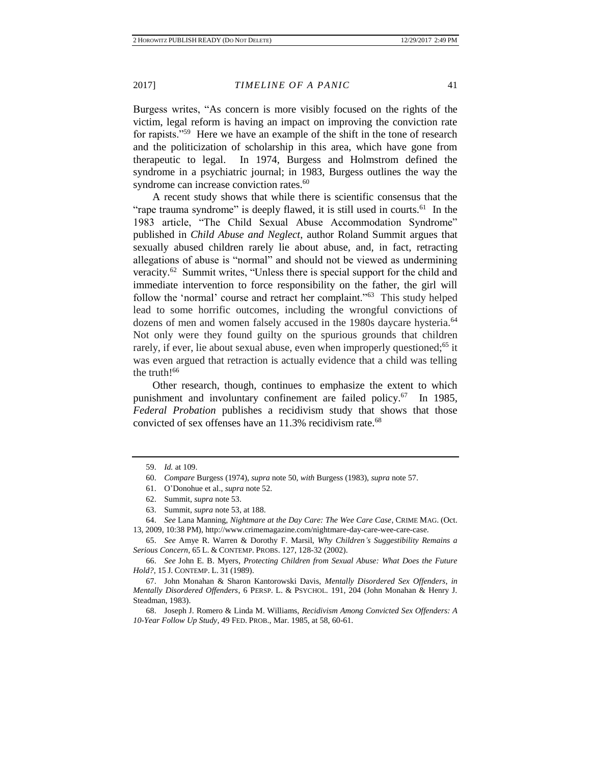Burgess writes, "As concern is more visibly focused on the rights of the victim, legal reform is having an impact on improving the conviction rate for rapists."<sup>59</sup> Here we have an example of the shift in the tone of research and the politicization of scholarship in this area, which have gone from therapeutic to legal. In 1974, Burgess and Holmstrom defined the syndrome in a psychiatric journal; in 1983, Burgess outlines the way the syndrome can increase conviction rates.<sup>60</sup>

A recent study shows that while there is scientific consensus that the "rape trauma syndrome" is deeply flawed, it is still used in courts.<sup>61</sup> In the 1983 article, "The Child Sexual Abuse Accommodation Syndrome" published in *Child Abuse and Neglect*, author Roland Summit argues that sexually abused children rarely lie about abuse, and, in fact, retracting allegations of abuse is "normal" and should not be viewed as undermining veracity.<sup>62</sup> Summit writes, "Unless there is special support for the child and immediate intervention to force responsibility on the father, the girl will follow the 'normal' course and retract her complaint."<sup>63</sup> This study helped lead to some horrific outcomes, including the wrongful convictions of dozens of men and women falsely accused in the 1980s daycare hysteria.<sup>64</sup> Not only were they found guilty on the spurious grounds that children rarely, if ever, lie about sexual abuse, even when improperly questioned;<sup>65</sup> it was even argued that retraction is actually evidence that a child was telling the truth!<sup>66</sup>

Other research, though, continues to emphasize the extent to which punishment and involuntary confinement are failed policy.<sup>67</sup> In 1985, *Federal Probation* publishes a recidivism study that shows that those convicted of sex offenses have an  $11.3\%$  recidivism rate.<sup>68</sup>

65. *See* Amye R. Warren & Dorothy F. Marsil, *Why Children's Suggestibility Remains a Serious Concern*, 65 L. & CONTEMP. PROBS. 127, 128-32 (2002).

66. *See* John E. B. Myers, *Protecting Children from Sexual Abuse: What Does the Future Hold?*, 15 J. CONTEMP. L. 31 (1989).

67. John Monahan & Sharon Kantorowski Davis, *Mentally Disordered Sex Offenders*, *in Mentally Disordered Offenders*, 6 PERSP. L. & PSYCHOL. 191, 204 (John Monahan & Henry J. Steadman, 1983).

68. Joseph J. Romero & Linda M. Williams, *Recidivism Among Convicted Sex Offenders: A 10-Year Follow Up Study*, 49 FED. PROB., Mar. 1985, at 58, 60-61.

<sup>59.</sup> *Id.* at 109.

<sup>60.</sup> *Compare* Burgess (1974), *supra* note 50, *with* Burgess (1983), *supra* note 57.

<sup>61.</sup> O'Donohue et al., *supra* note 52.

<sup>62.</sup> Summit, *supra* note 53.

<sup>63.</sup> Summit, *supra* note 53, at 188.

<sup>64.</sup> *See* Lana Manning, *Nightmare at the Day Care: The Wee Care Case*, CRIME MAG. (Oct. 13, 2009, 10:38 PM), http://www.crimemagazine.com/nightmare-day-care-wee-care-case.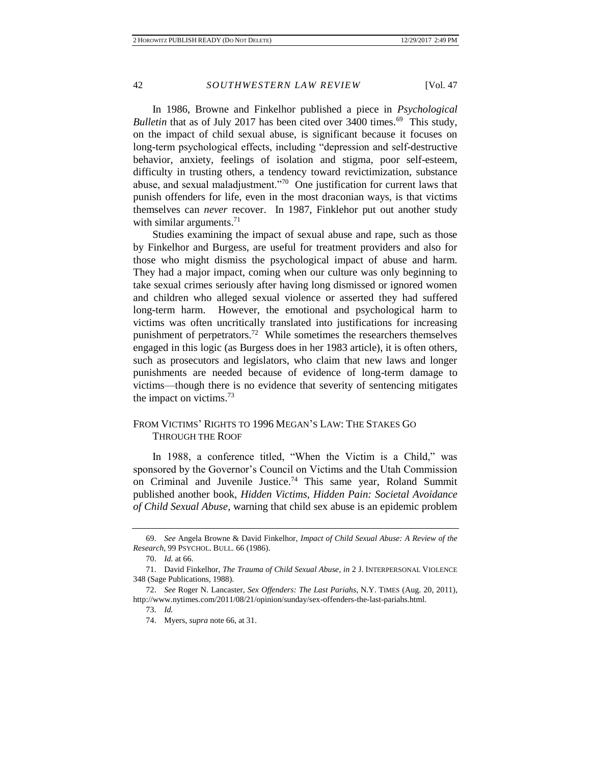In 1986, Browne and Finkelhor published a piece in *Psychological*  Bulletin that as of July 2017 has been cited over 3400 times.<sup>69</sup> This study, on the impact of child sexual abuse, is significant because it focuses on long-term psychological effects, including "depression and self-destructive behavior, anxiety, feelings of isolation and stigma, poor self-esteem, difficulty in trusting others, a tendency toward revictimization, substance abuse, and sexual maladjustment."<sup>70</sup> One justification for current laws that punish offenders for life, even in the most draconian ways, is that victims themselves can *never* recover. In 1987, Finklehor put out another study with similar arguments. $^{71}$ 

Studies examining the impact of sexual abuse and rape, such as those by Finkelhor and Burgess, are useful for treatment providers and also for those who might dismiss the psychological impact of abuse and harm. They had a major impact, coming when our culture was only beginning to take sexual crimes seriously after having long dismissed or ignored women and children who alleged sexual violence or asserted they had suffered long-term harm. However, the emotional and psychological harm to victims was often uncritically translated into justifications for increasing punishment of perpetrators.<sup>72</sup> While sometimes the researchers themselves engaged in this logic (as Burgess does in her 1983 article), it is often others, such as prosecutors and legislators, who claim that new laws and longer punishments are needed because of evidence of long-term damage to victims—though there is no evidence that severity of sentencing mitigates the impact on victims.<sup>73</sup>

# FROM VICTIMS' RIGHTS TO 1996 MEGAN'S LAW: THE STAKES GO THROUGH THE ROOF

In 1988, a conference titled, "When the Victim is a Child," was sponsored by the Governor's Council on Victims and the Utah Commission on Criminal and Juvenile Justice.<sup>74</sup> This same year, Roland Summit published another book, *Hidden Victims, Hidden Pain: Societal Avoidance of Child Sexual Abuse*, warning that child sex abuse is an epidemic problem

<sup>69.</sup> *See* Angela Browne & David Finkelhor, *Impact of Child Sexual Abuse: A Review of the Research*, 99 PSYCHOL. BULL. 66 (1986).

<sup>70.</sup> *Id.* at 66.

<sup>71.</sup> David Finkelhor, *The Trauma of Child Sexual Abuse*, *in* 2 J. INTERPERSONAL VIOLENCE 348 (Sage Publications, 1988).

<sup>72.</sup> *See* Roger N. Lancaster, *Sex Offenders: The Last Pariahs*, N.Y. TIMES (Aug. 20, 2011), http://www.nytimes.com/2011/08/21/opinion/sunday/sex-offenders-the-last-pariahs.html.

<sup>73.</sup> *Id.*

<sup>74.</sup> Myers, *supra* note 66, at 31.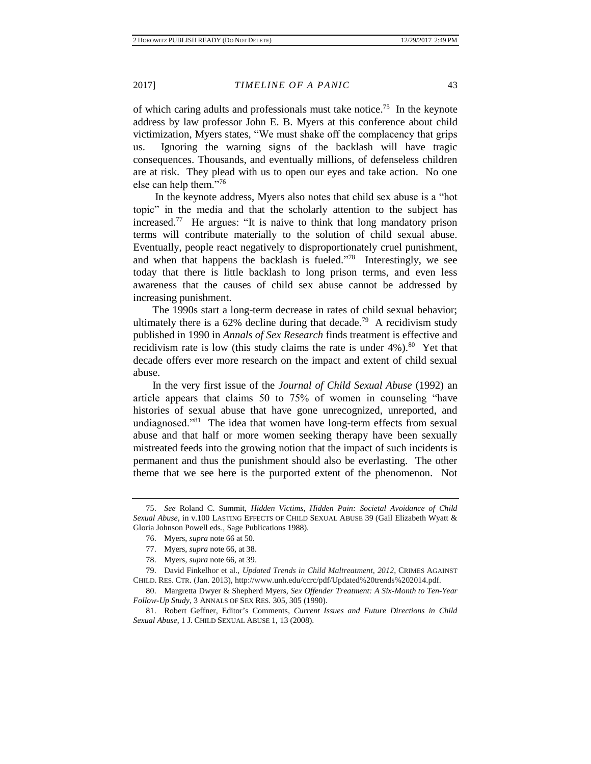of which caring adults and professionals must take notice.<sup>75</sup> In the keynote address by law professor John E. B. Myers at this conference about child victimization, Myers states, "We must shake off the complacency that grips us. Ignoring the warning signs of the backlash will have tragic consequences. Thousands, and eventually millions, of defenseless children are at risk. They plead with us to open our eyes and take action. No one else can help them."<sup>76</sup>

In the keynote address, Myers also notes that child sex abuse is a "hot topic" in the media and that the scholarly attention to the subject has increased.<sup>77</sup> He argues: "It is naive to think that long mandatory prison terms will contribute materially to the solution of child sexual abuse. Eventually, people react negatively to disproportionately cruel punishment, and when that happens the backlash is fueled."<sup>78</sup> Interestingly, we see today that there is little backlash to long prison terms, and even less awareness that the causes of child sex abuse cannot be addressed by increasing punishment.

The 1990s start a long-term decrease in rates of child sexual behavior; ultimately there is a  $62\%$  decline during that decade.<sup>79</sup> A recidivism study published in 1990 in *Annals of Sex Research* finds treatment is effective and recidivism rate is low (this study claims the rate is under  $4\%$ ).<sup>80</sup> Yet that decade offers ever more research on the impact and extent of child sexual abuse.

In the very first issue of the *Journal of Child Sexual Abuse* (1992) an article appears that claims 50 to 75% of women in counseling "have histories of sexual abuse that have gone unrecognized, unreported, and undiagnosed."<sup>81</sup> The idea that women have long-term effects from sexual abuse and that half or more women seeking therapy have been sexually mistreated feeds into the growing notion that the impact of such incidents is permanent and thus the punishment should also be everlasting. The other theme that we see here is the purported extent of the phenomenon. Not

<sup>75.</sup> *See* Roland C. Summit, *Hidden Victims, Hidden Pain: Societal Avoidance of Child Sexual Abuse*, in v.100 LASTING EFFECTS OF CHILD SEXUAL ABUSE 39 (Gail Elizabeth Wyatt & Gloria Johnson Powell eds., Sage Publications 1988).

<sup>76.</sup> Myers, *supra* note 66 at 50.

<sup>77.</sup> Myers, *supra* note 66, at 38.

<sup>78.</sup> Myers, *supra* note 66, at 39.

<sup>79.</sup> David Finkelhor et al., *Updated Trends in Child Maltreatment*, *2012*, CRIMES AGAINST CHILD. RES. CTR. (Jan. 2013), http://www.unh.edu/ccrc/pdf/Updated%20trends%202014.pdf.

<sup>80.</sup> Margretta Dwyer & Shepherd Myers, *Sex Offender Treatment: A Six-Month to Ten-Year Follow-Up Study*, 3 ANNALS OF SEX RES. 305, 305 (1990).

<sup>81.</sup> Robert Geffner, Editor's Comments, *Current Issues and Future Directions in Child Sexual Abuse*, 1 J. CHILD SEXUAL ABUSE 1, 13 (2008).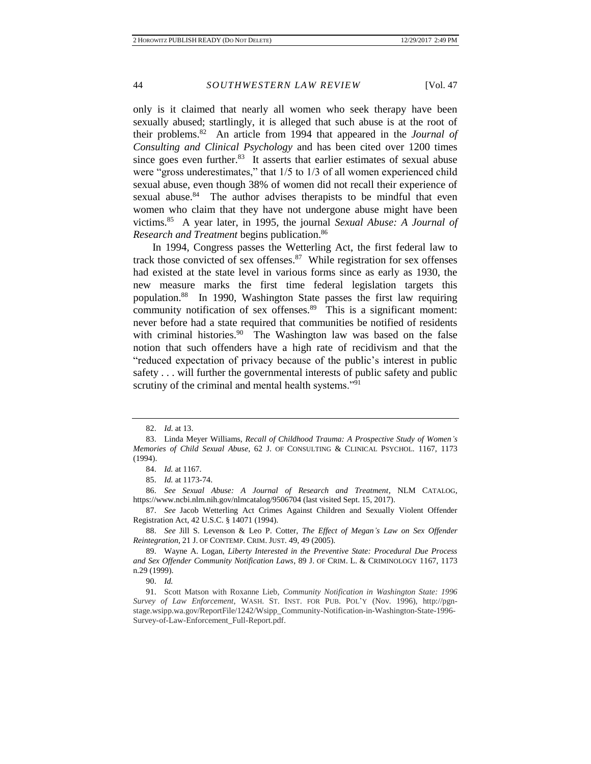only is it claimed that nearly all women who seek therapy have been sexually abused; startlingly, it is alleged that such abuse is at the root of their problems.<sup>82</sup> An article from 1994 that appeared in the *Journal of Consulting and Clinical Psychology* and has been cited over 1200 times since goes even further. $83$  It asserts that earlier estimates of sexual abuse were "gross underestimates," that 1/5 to 1/3 of all women experienced child sexual abuse, even though 38% of women did not recall their experience of sexual abuse. $84$  The author advises therapists to be mindful that even women who claim that they have not undergone abuse might have been victims.<sup>85</sup> A year later, in 1995, the journal *Sexual Abuse: A Journal of Research and Treatment* begins publication.<sup>86</sup>

In 1994, Congress passes the Wetterling Act, the first federal law to track those convicted of sex offenses. $87$  While registration for sex offenses had existed at the state level in various forms since as early as 1930, the new measure marks the first time federal legislation targets this population.<sup>88</sup> In 1990, Washington State passes the first law requiring community notification of sex offenses.<sup>89</sup> This is a significant moment: never before had a state required that communities be notified of residents with criminal histories.<sup>90</sup> The Washington law was based on the false notion that such offenders have a high rate of recidivism and that the "reduced expectation of privacy because of the public's interest in public safety . . . will further the governmental interests of public safety and public scrutiny of the criminal and mental health systems."<sup>91</sup>

86. *See Sexual Abuse: A Journal of Research and Treatment*, NLM CATALOG, https://www.ncbi.nlm.nih.gov/nlmcatalog/9506704 (last visited Sept. 15, 2017).

87. *See* Jacob Wetterling Act Crimes Against Children and Sexually Violent Offender Registration Act, 42 U.S.C. § 14071 (1994).

<sup>82.</sup> *Id*. at 13.

<sup>83.</sup> Linda Meyer Williams, *Recall of Childhood Trauma: A Prospective Study of Women's Memories of Child Sexual Abuse*, 62 J. OF CONSULTING & CLINICAL PSYCHOL. 1167, 1173 (1994).

<sup>84.</sup> *Id.* at 1167.

<sup>85.</sup> *Id.* at 1173-74.

<sup>88.</sup> *See* Jill S. Levenson & Leo P. Cotter, *The Effect of Megan's Law on Sex Offender Reintegration*, 21 J. OF CONTEMP. CRIM. JUST. 49, 49 (2005).

<sup>89.</sup> Wayne A. Logan, *Liberty Interested in the Preventive State: Procedural Due Process and Sex Offender Community Notification Laws*, 89 J. OF CRIM. L. & CRIMINOLOGY 1167, 1173 n.29 (1999).

<sup>90.</sup> *Id.*

<sup>91.</sup> Scott Matson with Roxanne Lieb, *Community Notification in Washington State: 1996 Survey of Law Enforcement*, WASH. ST. INST. FOR PUB. POL'Y (Nov. 1996), http://pgnstage.wsipp.wa.gov/ReportFile/1242/Wsipp\_Community-Notification-in-Washington-State-1996- Survey-of-Law-Enforcement\_Full-Report.pdf.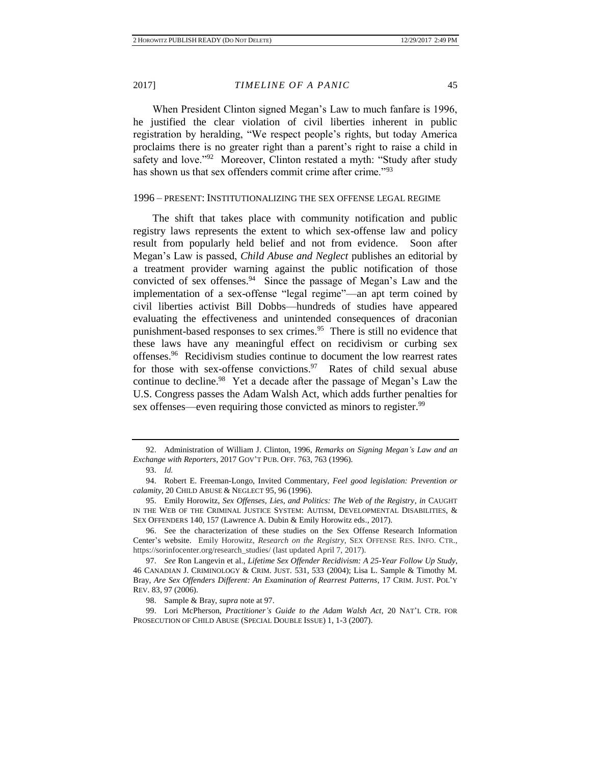When President Clinton signed Megan's Law to much fanfare is 1996, he justified the clear violation of civil liberties inherent in public registration by heralding, "We respect people's rights, but today America proclaims there is no greater right than a parent's right to raise a child in safety and love."<sup>92</sup> Moreover, Clinton restated a myth: "Study after study has shown us that sex offenders commit crime after crime."<sup>93</sup>

### 1996 – PRESENT: INSTITUTIONALIZING THE SEX OFFENSE LEGAL REGIME

The shift that takes place with community notification and public registry laws represents the extent to which sex-offense law and policy result from popularly held belief and not from evidence. Soon after Megan's Law is passed, *Child Abuse and Neglect* publishes an editorial by a treatment provider warning against the public notification of those convicted of sex offenses.<sup>94</sup> Since the passage of Megan's Law and the implementation of a sex-offense "legal regime"—an apt term coined by civil liberties activist Bill Dobbs—hundreds of studies have appeared evaluating the effectiveness and unintended consequences of draconian punishment-based responses to sex crimes.<sup>95</sup> There is still no evidence that these laws have any meaningful effect on recidivism or curbing sex offenses.<sup>96</sup> Recidivism studies continue to document the low rearrest rates for those with sex-offense convictions. 97 Rates of child sexual abuse continue to decline.<sup>98</sup> Yet a decade after the passage of Megan's Law the U.S. Congress passes the Adam Walsh Act, which adds further penalties for sex offenses—even requiring those convicted as minors to register.<sup>99</sup>

<sup>92.</sup> Administration of William J. Clinton, 1996, *Remarks on Signing Megan's Law and an Exchange with Reporters*, 2017 GOV'T PUB. OFF. 763, 763 (1996).

<sup>93.</sup> *Id.*

<sup>94.</sup> Robert E. Freeman-Longo, Invited Commentary, *Feel good legislation: Prevention or calamity*, 20 CHILD ABUSE & NEGLECT 95, 96 (1996).

<sup>95.</sup> Emily Horowitz, *Sex Offenses, Lies, and Politics: The Web of the Registry*, *in* CAUGHT IN THE WEB OF THE CRIMINAL JUSTICE SYSTEM: AUTISM, DEVELOPMENTAL DISABILITIES, & SEX OFFENDERS 140, 157 (Lawrence A. Dubin & Emily Horowitz eds., 2017).

<sup>96.</sup> See the characterization of these studies on the Sex Offense Research Information Center's website. Emily Horowitz, *Research on the Registry*, SEX OFFENSE RES. INFO. CTR., https://sorinfocenter.org/research\_studies/ (last updated April 7, 2017).

<sup>97.</sup> *See* Ron Langevin et al., *Lifetime Sex Offender Recidivism: A 25-Year Follow Up Study*, 46 CANADIAN J. CRIMINOLOGY & CRIM. JUST. 531, 533 (2004); Lisa L. Sample & Timothy M. Bray, *Are Sex Offenders Different: An Examination of Rearrest Patterns*, 17 CRIM. JUST. POL'Y REV. 83, 97 (2006).

<sup>98.</sup> Sample & Bray, *supra* note at 97.

<sup>99.</sup> Lori McPherson, *Practitioner's Guide to the Adam Walsh Act*, 20 NAT'L CTR. FOR PROSECUTION OF CHILD ABUSE (SPECIAL DOUBLE ISSUE) 1, 1-3 (2007).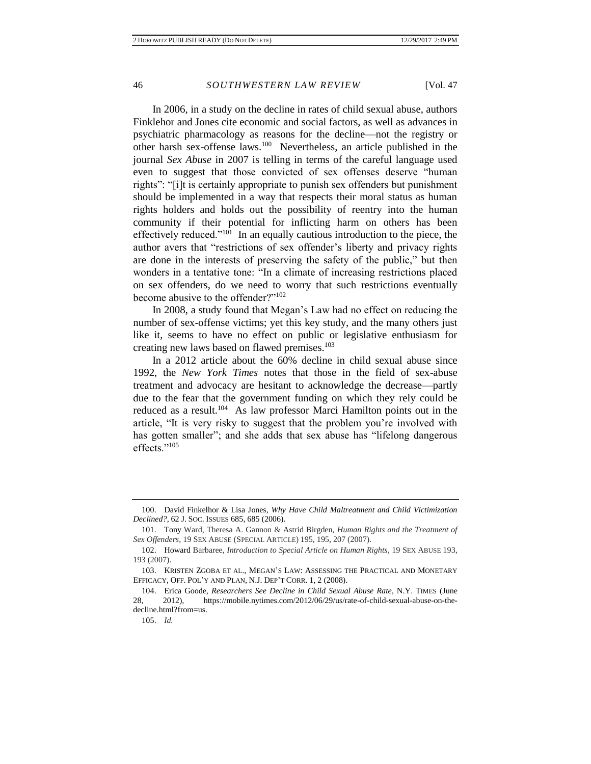In 2006, in a study on the decline in rates of child sexual abuse, authors Finklehor and Jones cite economic and social factors, as well as advances in psychiatric pharmacology as reasons for the decline—not the registry or other harsh sex-offense laws.<sup>100</sup> Nevertheless, an article published in the journal *Sex Abuse* in 2007 is telling in terms of the careful language used even to suggest that those convicted of sex offenses deserve "human rights": "[i]t is certainly appropriate to punish sex offenders but punishment should be implemented in a way that respects their moral status as human rights holders and holds out the possibility of reentry into the human community if their potential for inflicting harm on others has been effectively reduced."<sup>101</sup> In an equally cautious introduction to the piece, the author avers that "restrictions of sex offender's liberty and privacy rights are done in the interests of preserving the safety of the public," but then wonders in a tentative tone: "In a climate of increasing restrictions placed on sex offenders, do we need to worry that such restrictions eventually become abusive to the offender?"<sup>102</sup>

In 2008, a study found that Megan's Law had no effect on reducing the number of sex-offense victims; yet this key study, and the many others just like it, seems to have no effect on public or legislative enthusiasm for creating new laws based on flawed premises.<sup>103</sup>

In a 2012 article about the 60% decline in child sexual abuse since 1992, the *New York Times* notes that those in the field of sex-abuse treatment and advocacy are hesitant to acknowledge the decrease—partly due to the fear that the government funding on which they rely could be reduced as a result.<sup>104</sup> As law professor Marci Hamilton points out in the article, "It is very risky to suggest that the problem you're involved with has gotten smaller"; and she adds that sex abuse has "lifelong dangerous" effects."<sup>105</sup>

<sup>100.</sup> David Finkelhor & Lisa Jones, *Why Have Child Maltreatment and Child Victimization Declined?*, 62 J. SOC. ISSUES 685, 685 (2006).

<sup>101.</sup> Tony Ward, Theresa A. Gannon & Astrid Birgden, *Human Rights and the Treatment of Sex Offenders*, 19 SEX ABUSE (SPECIAL ARTICLE) 195, 195, 207 (2007).

<sup>102.</sup> Howard Barbaree, *Introduction to Special Article on Human Rights*, 19 SEX ABUSE 193, 193 (2007).

 <sup>103.</sup> KRISTEN ZGOBA ET AL., MEGAN'S LAW: ASSESSING THE PRACTICAL AND MONETARY EFFICACY, OFF. POL'Y AND PLAN, N.J. DEP'T CORR. 1, 2 (2008).

<sup>104.</sup> Erica Goode, *Researchers See Decline in Child Sexual Abuse Rate*, N.Y. TIMES (June 28, 2012), https://mobile.nytimes.com/2012/06/29/us/rate-of-child-sexual-abuse-on-thedecline.html?from=us.

<sup>105.</sup> *Id.*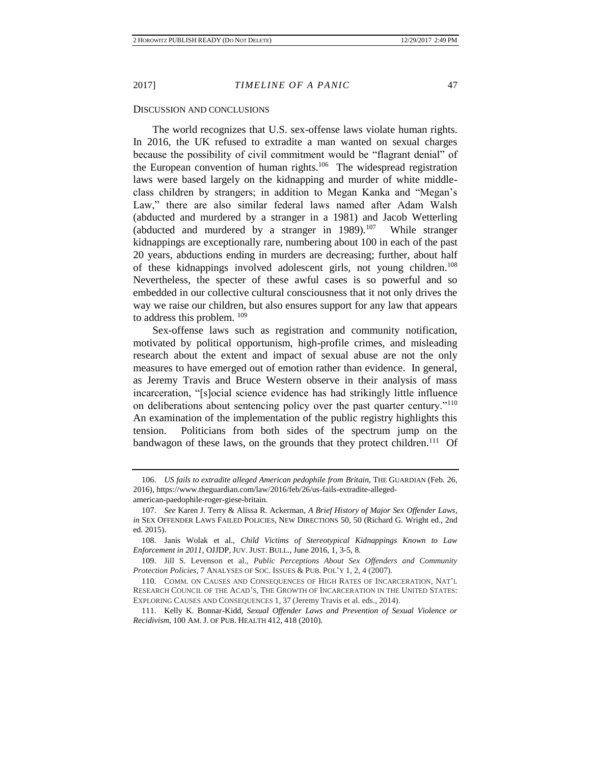### DISCUSSION AND CONCLUSIONS

The world recognizes that U.S. sex-offense laws violate human rights. In 2016, the UK refused to extradite a man wanted on sexual charges because the possibility of civil commitment would be "flagrant denial" of the European convention of human rights.<sup>106</sup> The widespread registration laws were based largely on the kidnapping and murder of white middleclass children by strangers; in addition to Megan Kanka and "Megan's Law," there are also similar federal laws named after Adam Walsh (abducted and murdered by a stranger in a 1981) and Jacob Wetterling (abducted and murdered by a stranger in  $1989$ ).<sup>107</sup> While stranger kidnappings are exceptionally rare, numbering about 100 in each of the past 20 years, abductions ending in murders are decreasing; further, about half of these kidnappings involved adolescent girls, not young children.<sup>108</sup> Nevertheless, the specter of these awful cases is so powerful and so embedded in our collective cultural consciousness that it not only drives the way we raise our children, but also ensures support for any law that appears to address this problem. <sup>109</sup>

Sex-offense laws such as registration and community notification, motivated by political opportunism, high-profile crimes, and misleading research about the extent and impact of sexual abuse are not the only measures to have emerged out of emotion rather than evidence. In general, as Jeremy Travis and Bruce Western observe in their analysis of mass incarceration, "[s]ocial science evidence has had strikingly little influence on deliberations about sentencing policy over the past quarter century."<sup>110</sup> An examination of the implementation of the public registry highlights this tension. Politicians from both sides of the spectrum jump on the bandwagon of these laws, on the grounds that they protect children.<sup>111</sup> Of

<sup>106.</sup> *US fails to extradite alleged American pedophile from Britain*, THE GUARDIAN (Feb. 26, 2016), https://www.theguardian.com/law/2016/feb/26/us-fails-extradite-allegedamerican-paedophile-roger-giese-britain.

<sup>107.</sup> *See* Karen J. Terry & Alissa R. Ackerman, *A Brief History of Major Sex Offender Laws*, *in* SEX OFFENDER LAWS FAILED POLICIES, NEW DIRECTIONS 50, 50 (Richard G. Wright ed., 2nd ed. 2015).

<sup>108.</sup> Janis Wolak et al., *Child Victims of Stereotypical Kidnappings Known to Law Enforcement in 2011*, OJJDP, JUV. JUST. BULL., June 2016, 1, 3-5, 8.

<sup>109.</sup> Jill S. Levenson et al., *Public Perceptions About Sex Offenders and Community Protection Policies*, 7 ANALYSES OF SOC. ISSUES & PUB. POL'Y 1, 2, 4 (2007).

<sup>110.</sup> COMM. ON CAUSES AND CONSEQUENCES OF HIGH RATES OF INCARCERATION, NAT'L RESEARCH COUNCIL OF THE ACAD'S, THE GROWTH OF INCARCERATION IN THE UNITED STATES: EXPLORING CAUSES AND CONSEQUENCES 1, 37 (Jeremy Travis et al. eds., 2014).

<sup>111.</sup> Kelly K. Bonnar-Kidd, *Sexual Offender Laws and Prevention of Sexual Violence or Recidivism*, 100 AM. J. OF PUB. HEALTH 412, 418 (2010).